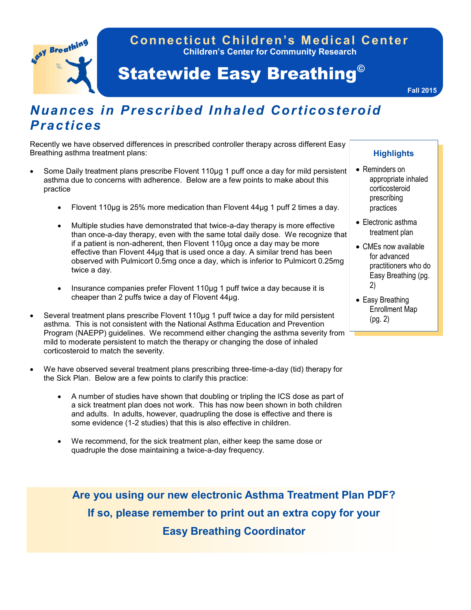

### **Children's Center for Community Research Connecticut Children's Medical Center**

# Statewide Easy Breathing©

**Fall 2015**

## *Nuances in Prescribed Inhaled Corticosteroid Practices*

Recently we have observed differences in prescribed controller therapy across different Easy Breathing asthma treatment plans:

- Some Daily treatment plans prescribe Flovent 110µg 1 puff once a day for mild persistent asthma due to concerns with adherence. Below are a few points to make about this practice
	- Flovent 110 µg is 25% more medication than Flovent 44 µg 1 puff 2 times a day.
	- Multiple studies have demonstrated that twice-a-day therapy is more effective than once-a-day therapy, even with the same total daily dose. We recognize that if a patient is non-adherent, then Flovent 110µg once a day may be more effective than Flovent 44µg that is used once a day. A similar trend has been observed with Pulmicort 0.5mg once a day, which is inferior to Pulmicort 0.25mg twice a day.
	- Insurance companies prefer Flovent 110µg 1 puff twice a day because it is cheaper than 2 puffs twice a day of Flovent 44µg.
- Several treatment plans prescribe Flovent 110µg 1 puff twice a day for mild persistent asthma. This is not consistent with the National Asthma Education and Prevention Program (NAEPP) guidelines. We recommend either changing the asthma severity from mild to moderate persistent to match the therapy or changing the dose of inhaled corticosteroid to match the severity.
- We have observed several treatment plans prescribing three-time-a-day (tid) therapy for the Sick Plan. Below are a few points to clarify this practice:
	- A number of studies have shown that doubling or tripling the ICS dose as part of a sick treatment plan does not work. This has now been shown in both children and adults. In adults, however, quadrupling the dose is effective and there is some evidence (1-2 studies) that this is also effective in children.
	- We recommend, for the sick treatment plan, either keep the same dose or quadruple the dose maintaining a twice-a-day frequency.

**Are you using our new electronic Asthma Treatment Plan PDF? If so, please remember to print out an extra copy for your Easy Breathing Coordinator**

#### **Highlights**

- Reminders on appropriate inhaled corticosteroid prescribing practices
- Electronic asthma treatment plan
- CMEs now available for advanced practitioners who do Easy Breathing (pg. 2)
- Easy Breathing Enrollment Map (pg. 2)